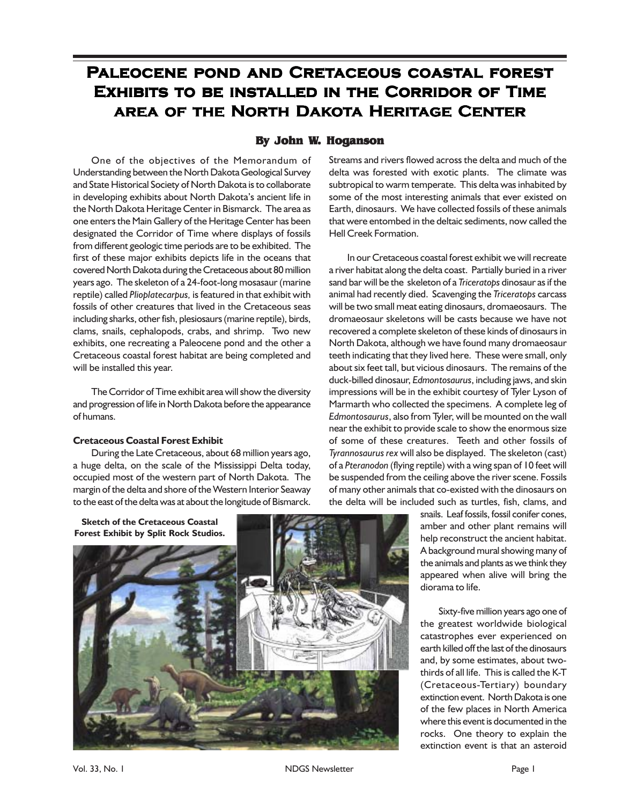# **Paleocene pond and Cretaceous coastal forest Exhibits to be installed in the Corridor of Time area of the North Dakota Heritage Center**

## **By John W. Hoganson**

One of the objectives of the Memorandum of Understanding between the North Dakota Geological Survey and State Historical Society of North Dakota is to collaborate in developing exhibits about North Dakota's ancient life in the North Dakota Heritage Center in Bismarck. The area as one enters the Main Gallery of the Heritage Center has been designated the Corridor of Time where displays of fossils from different geologic time periods are to be exhibited. The first of these major exhibits depicts life in the oceans that covered North Dakota during the Cretaceous about 80 million years ago. The skeleton of a 24-foot-long mosasaur (marine reptile) called *Plioplatecarpus,* is featured in that exhibit with fossils of other creatures that lived in the Cretaceous seas including sharks, other fish, plesiosaurs (marine reptile), birds, clams, snails, cephalopods, crabs, and shrimp. Two new exhibits, one recreating a Paleocene pond and the other a Cretaceous coastal forest habitat are being completed and will be installed this year.

The Corridor of Time exhibit area will show the diversity and progression of life in North Dakota before the appearance of humans.

## **Cretaceous Coastal Forest Exhibit**

During the Late Cretaceous, about 68 million years ago, a huge delta, on the scale of the Mississippi Delta today, occupied most of the western part of North Dakota. The margin of the delta and shore of the Western Interior Seaway to the east of the delta was at about the longitude of Bismarck.

Streams and rivers flowed across the delta and much of the delta was forested with exotic plants. The climate was subtropical to warm temperate. This delta was inhabited by some of the most interesting animals that ever existed on Earth, dinosaurs. We have collected fossils of these animals that were entombed in the deltaic sediments, now called the Hell Creek Formation.

In our Cretaceous coastal forest exhibit we will recreate a river habitat along the delta coast. Partially buried in a river sand bar will be the skeleton of a *Triceratops* dinosaur as if the animal had recently died. Scavenging the *Triceratops* carcass will be two small meat eating dinosaurs, dromaeosaurs. The dromaeosaur skeletons will be casts because we have not recovered a complete skeleton of these kinds of dinosaurs in North Dakota, although we have found many dromaeosaur teeth indicating that they lived here. These were small, only about six feet tall, but vicious dinosaurs. The remains of the duck-billed dinosaur, *Edmontosaurus*, including jaws, and skin impressions will be in the exhibit courtesy of Tyler Lyson of Marmarth who collected the specimens. A complete leg of *Edmontosaurus*, also from Tyler, will be mounted on the wall near the exhibit to provide scale to show the enormous size of some of these creatures. Teeth and other fossils of *Tyrannosaurus rex* will also be displayed. The skeleton (cast) of a *Pteranodon* (flying reptile) with a wing span of 10 feet will be suspended from the ceiling above the river scene. Fossils of many other animals that co-existed with the dinosaurs on the delta will be included such as turtles, fish, clams, and



snails. Leaf fossils, fossil conifer cones, amber and other plant remains will help reconstruct the ancient habitat. A background mural showing many of the animals and plants as we think they appeared when alive will bring the diorama to life.

Sixty-five million years ago one of the greatest worldwide biological catastrophes ever experienced on earth killed off the last of the dinosaurs and, by some estimates, about twothirds of all life. This is called the K-T (Cretaceous-Tertiary) boundary extinction event. North Dakota is one of the few places in North America where this event is documented in the rocks. One theory to explain the extinction event is that an asteroid